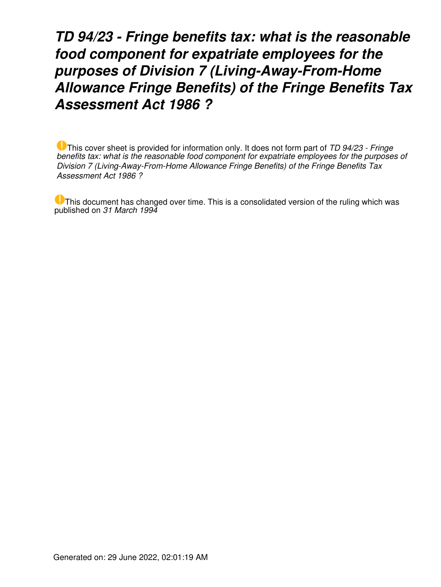*TD 94/23 - Fringe benefits tax: what is the reasonable food component for expatriate employees for the purposes of Division 7 (Living-Away-From-Home Allowance Fringe Benefits) of the Fringe Benefits Tax Assessment Act 1986 ?*

This cover sheet is provided for information only. It does not form part of *TD 94/23 - Fringe benefits tax: what is the reasonable food component for expatriate employees for the purposes of Division 7 (Living-Away-From-Home Allowance Fringe Benefits) of the Fringe Benefits Tax Assessment Act 1986 ?*

This document has changed over time. This is a consolidated version of the ruling which was published on *31 March 1994*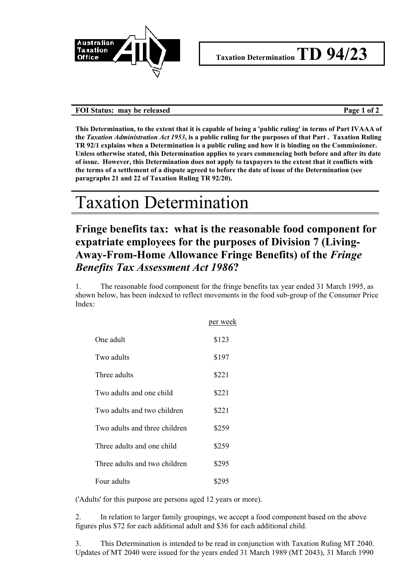

## FOI Status: may be released **Page 1 of 2**

**This Determination, to the extent that it is capable of being a 'public ruling' in terms of Part IVAAA of the** *Taxation Administration Act 1953***, is a public ruling for the purposes of that Part . Taxation Ruling TR 92/1 explains when a Determination is a public ruling and how it is binding on the Commissioner. Unless otherwise stated, this Determination applies to years commencing both before and after its date of issue. However, this Determination does not apply to taxpayers to the extent that it conflicts with the terms of a settlement of a dispute agreed to before the date of issue of the Determination (see paragraphs 21 and 22 of Taxation Ruling TR 92/20).**

## Taxation Determination

## **Fringe benefits tax: what is the reasonable food component for expatriate employees for the purposes of Division 7 (Living-Away-From-Home Allowance Fringe Benefits) of the** *Fringe Benefits Tax Assessment Act 1986***?**

1. The reasonable food component for the fringe benefits tax year ended 31 March 1995, as shown below, has been indexed to reflect movements in the food sub-group of the Consumer Price Index:

|                               | per week |
|-------------------------------|----------|
| One adult                     | \$123    |
| Two adults                    | \$197    |
| Three adults                  | \$221    |
| Two adults and one child      | \$221    |
| Two adults and two children   | \$221    |
| Two adults and three children | \$259    |
| Three adults and one child    | \$259    |
| Three adults and two children | \$295    |
| Four adults                   | \$295    |

('Adults' for this purpose are persons aged 12 years or more).

2. In relation to larger family groupings, we accept a food component based on the above figures plus \$72 for each additional adult and \$36 for each additional child.

3. This Determination is intended to be read in conjunction with Taxation Ruling MT 2040. Updates of MT 2040 were issued for the years ended 31 March 1989 (MT 2043), 31 March 1990